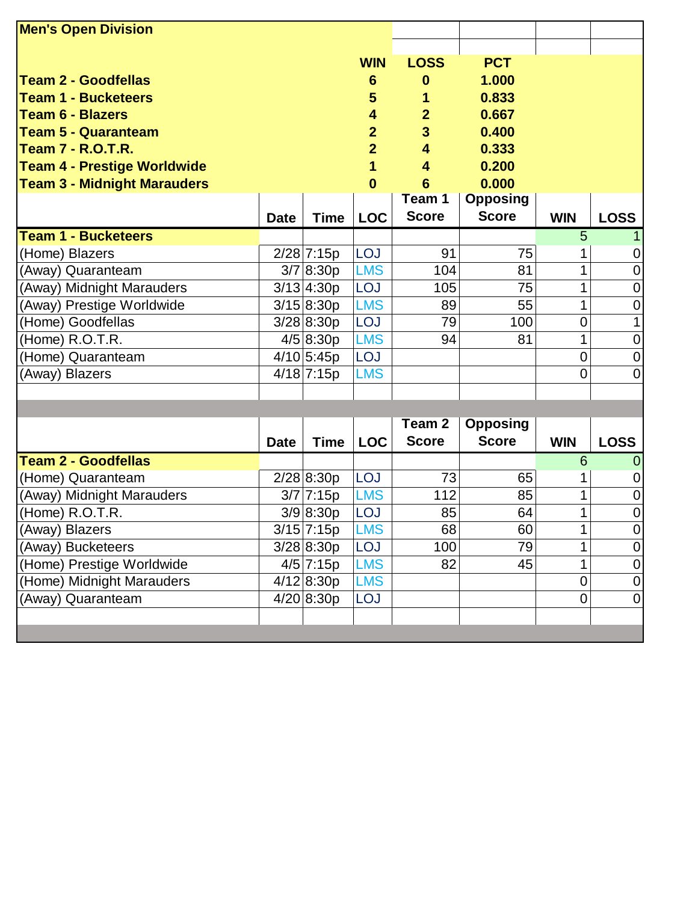| <b>Men's Open Division</b>         |             |               |                 |                |                   |            |                  |
|------------------------------------|-------------|---------------|-----------------|----------------|-------------------|------------|------------------|
|                                    |             |               | <b>WIN</b>      | <b>LOSS</b>    | <b>PCT</b>        |            |                  |
| <b>Team 2 - Goodfellas</b>         |             |               | $6\phantom{1}6$ | 0              | 1.000             |            |                  |
| <b>Team 1 - Bucketeers</b>         |             |               | 5               |                | 0.833             |            |                  |
| Team 6 - Blazers                   |             |               | 4               | $\overline{2}$ | 0.667             |            |                  |
| Team 5 - Quaranteam                |             |               | $\overline{2}$  | $\overline{3}$ | 0.400             |            |                  |
| <b>Team 7 - R.O.T.R.</b>           |             |               | $\overline{2}$  | 4              | 0.333             |            |                  |
| Team 4 - Prestige Worldwide        |             |               |                 | 4              | 0.200             |            |                  |
| <b>Team 3 - Midnight Marauders</b> |             |               | 0               | 6              | 0.000             |            |                  |
|                                    |             |               |                 | Team 1         | <b>Opposing</b>   |            |                  |
|                                    | <b>Date</b> | <b>Time</b>   | <b>LOC</b>      | <b>Score</b>   | <b>Score</b>      | <b>WIN</b> | <b>LOSS</b>      |
| Team 1 - Bucketeers                |             |               |                 |                |                   | 5          | $\mathbf 1$      |
| (Home) Blazers                     |             | $2/28$ 7:15p  | <b>LOJ</b>      | 91             | 75                |            | $\mathbf 0$      |
| (Away) Quaranteam                  |             | 3/7 8:30p     | <b>LMS</b>      | 104            | 81                | 1          | $\overline{0}$   |
| (Away) Midnight Marauders          |             | $3/13$ 4:30p  | <b>LOJ</b>      | 105            | 75                |            | $\boldsymbol{0}$ |
| (Away) Prestige Worldwide          |             | $3/15$  8:30p | <b>LMS</b>      | 89             | 55                |            | $\pmb{0}$        |
| (Home) Goodfellas                  |             | $3/28$  8:30p | <b>LOJ</b>      | 79             | 100               | 0          | 1                |
| (Home) R.O.T.R.                    |             | 4/5 8:30p     | <b>LMS</b>      | 94             | 81                |            | $\boldsymbol{0}$ |
| (Home) Quaranteam                  |             | $4/10$ 5:45p  | <b>LOJ</b>      |                |                   | 0          | $\boldsymbol{0}$ |
| (Away) Blazers                     |             | 4/18 7:15p    | <b>LMS</b>      |                |                   | 0          | 0                |
|                                    |             |               |                 |                |                   |            |                  |
|                                    |             |               |                 |                |                   |            |                  |
|                                    |             |               |                 |                | $\Omega$ $\Omega$ |            |                  |

|                           |             |               |            | Team <sub>2</sub> | <b>Opposing</b> |            |                |
|---------------------------|-------------|---------------|------------|-------------------|-----------------|------------|----------------|
|                           | <b>Date</b> | <b>Time</b>   | <b>LOC</b> | <b>Score</b>      | <b>Score</b>    | <b>WIN</b> | <b>LOSS</b>    |
| Team 2 - Goodfellas       |             |               |            |                   |                 | 6          | 0              |
| (Home) Quaranteam         |             | $2/28$  8:30p | <b>LOJ</b> | 73                | 65              |            | 0              |
| (Away) Midnight Marauders |             | $3/7$ 7:15p   | <b>LMS</b> | 112               | 85              |            | 0              |
| (Home) R.O.T.R.           |             | 3/9 8:30p     | <b>LOJ</b> | 85                | 64              |            | $\overline{0}$ |
| (Away) Blazers            |             | $3/15$ 7:15p  | <b>LMS</b> | 68                | 60              |            | 0              |
| (Away) Bucketeers         |             | $3/28$ 8:30p  | <b>LOJ</b> | 100               | 79              |            | 0              |
| (Home) Prestige Worldwide |             | $4/5$ 7:15p   | <b>LMS</b> | 82                | 45              |            | 0              |
| (Home) Midnight Marauders |             | $4/12$  8:30p | <b>LMS</b> |                   |                 | 0          | 0              |
| (Away) Quaranteam         |             | 4/20 8:30p    | <b>LOJ</b> |                   |                 | 0          | 0              |
|                           |             |               |            |                   |                 |            |                |
|                           |             |               |            |                   |                 |            |                |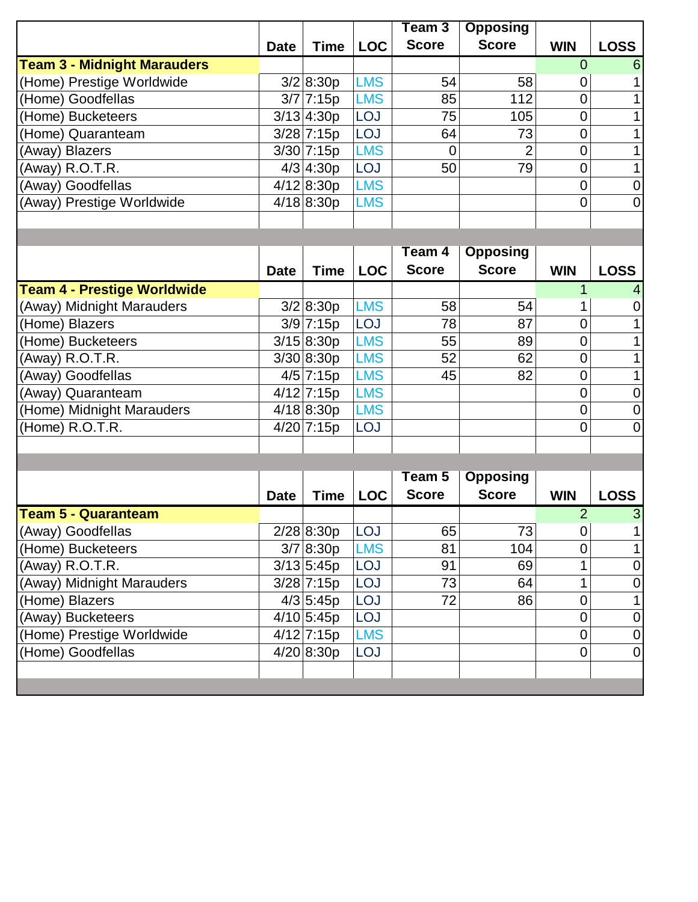|                                    |             |              |            | Team 3       | <b>Opposing</b> |            |             |
|------------------------------------|-------------|--------------|------------|--------------|-----------------|------------|-------------|
|                                    | <b>Date</b> | Time         | <b>LOC</b> | <b>Score</b> | <b>Score</b>    | <b>WIN</b> | <b>LOSS</b> |
| <b>Team 3 - Midnight Marauders</b> |             |              |            |              |                 |            | 6           |
| (Home) Prestige Worldwide          |             | $3/2$  8:30p | <b>LMS</b> | 54           | 58              |            |             |
| (Home) Goodfellas                  |             | $3/7$ 7:15p  | <b>LMS</b> | 85           | 112             |            |             |
| (Home) Bucketeers                  |             | $3/13$ 4:30p | <b>LOJ</b> | 75           | 105             |            |             |
| (Home) Quaranteam                  |             | $3/28$ 7:15p | <b>LOJ</b> | 64           | 73              |            |             |
| (Away) Blazers                     |             | $3/30$ 7:15p | <b>LMS</b> | 0            | $\overline{2}$  |            |             |
| (Away) R.O.T.R.                    |             | $4/3$ 4:30p  | <b>LOJ</b> | 50           | 79              |            |             |
| (Away) Goodfellas                  |             | $4/12$ 8:30p | <b>LMS</b> |              |                 |            |             |
| (Away) Prestige Worldwide          |             | $4/18$ 8:30p | <b>LMS</b> |              |                 |            |             |
|                                    |             |              |            |              |                 |            |             |
|                                    |             |              |            |              |                 |            |             |

|                                    |             |               |            | Team 4       | <b>Opposing</b> |            |             |
|------------------------------------|-------------|---------------|------------|--------------|-----------------|------------|-------------|
|                                    | <b>Date</b> | <b>Time</b>   | <b>LOC</b> | <b>Score</b> | <b>Score</b>    | <b>WIN</b> | <b>LOSS</b> |
| <b>Team 4 - Prestige Worldwide</b> |             |               |            |              |                 |            |             |
| (Away) Midnight Marauders          |             | 3/2 8:30p     | <b>LMS</b> | 58           | 54              |            |             |
| (Home) Blazers                     |             | $3/9$ 7:15p   | <b>LOJ</b> | 78           | 87              | 0          |             |
| (Home) Bucketeers                  |             | $3/15$  8:30p | <b>LMS</b> | 55           | 89              | ი          |             |
| (Away) R.O.T.R.                    |             | 3/30 8:30p    | <b>LMS</b> | 52           | 62              | 0          |             |
| (Away) Goodfellas                  |             | $4/5$ 7:15p   | <b>LMS</b> | 45           | 82              | 0          |             |
| (Away) Quaranteam                  |             | $4/12$ 7:15p  | <b>LMS</b> |              |                 | 0          |             |
| (Home) Midnight Marauders          |             | $4/18$ 8:30p  | <b>LMS</b> |              |                 | 0          | 0           |
| (Home) R.O.T.R.                    |             | $4/20$ 7:15p  | <b>LOJ</b> |              |                 | 0          |             |
|                                    |             |               |            |              |                 |            |             |
|                                    |             |               |            |              |                 |            |             |

|                            |             |               |            | Team 5       | <b>Opposing</b> |            |                |
|----------------------------|-------------|---------------|------------|--------------|-----------------|------------|----------------|
|                            | <b>Date</b> | <b>Time</b>   | <b>LOC</b> | <b>Score</b> | <b>Score</b>    | <b>WIN</b> | <b>LOSS</b>    |
| <b>Team 5 - Quaranteam</b> |             |               |            |              |                 | 2          | 3              |
| (Away) Goodfellas          |             | $2/28$  8:30p | <b>LOJ</b> | 65           | 73              |            |                |
| (Home) Bucketeers          |             | 3/7 8:30p     | <b>LMS</b> | 81           | 104             |            |                |
| (Away) R.O.T.R.            |             | $3/13$ 5:45p  | <b>LOJ</b> | 91           | 69              |            | $\overline{0}$ |
| (Away) Midnight Marauders  |             | $3/28$ 7:15p  | <b>LOJ</b> | 73           | 64              |            | $\overline{0}$ |
| (Home) Blazers             |             | $4/3$ 5:45p   | <b>LOJ</b> | 72           | 86              | 0          |                |
| (Away) Bucketeers          |             | $4/10$ 5:45p  | <b>LOJ</b> |              |                 | 0          | $\overline{0}$ |
| (Home) Prestige Worldwide  |             | $4/12$ 7:15p  | <b>LMS</b> |              |                 | 0          | $\overline{0}$ |
| (Home) Goodfellas          |             | 4/20 8:30p    | <b>LOJ</b> |              |                 | 0          | $\overline{0}$ |
|                            |             |               |            |              |                 |            |                |
|                            |             |               |            |              |                 |            |                |